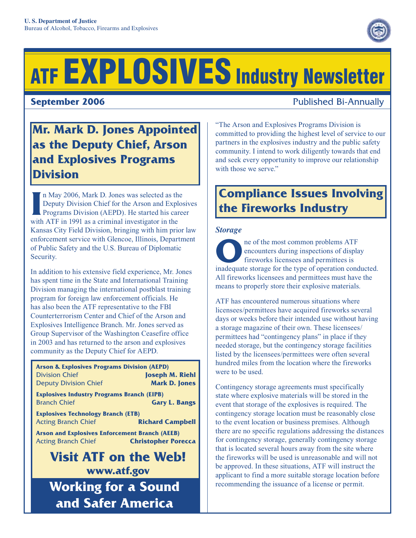# ATF EXPLOSIVES Industry Newsletter

**September 2006 Published Bi-Annually** 

### **Mr. Mark D. Jones Appointed as the Deputy Chief, Arson and Explosives Programs Division**

In May 2006, Mark D. Jones was selected as the Deputy Division Chief for the Arson and Explerence Programs Division (AEPD). He started his can with ATF in 1991 as a criminal investigator in the n May 2006, Mark D. Jones was selected as the Deputy Division Chief for the Arson and Explosives Programs Division (AEPD). He started his career Kansas City Field Division, bringing with him prior law enforcement service with Glencoe, Illinois, Department of Public Safety and the U.S. Bureau of Diplomatic Security.

In addition to his extensive field experience, Mr. Jones has spent time in the State and International Training Division managing the international postblast training program for foreign law enforcement officials. He has also been the ATF representative to the FBI Counterterrorism Center and Chief of the Arson and Explosives Intelligence Branch. Mr. Jones served as Group Supervisor of the Washington Ceasefire office in 2003 and has returned to the arson and explosives community as the Deputy Chief for AEPD.

| <b>Arson &amp; Explosives Programs Division (AEPD)</b>                                                            |  |  |  |  |
|-------------------------------------------------------------------------------------------------------------------|--|--|--|--|
| <b>Division Chief</b><br><b>Joseph M. Riehl</b>                                                                   |  |  |  |  |
| <b>Deputy Division Chief</b><br><b>Mark D. Jones</b>                                                              |  |  |  |  |
| <b>Explosives Industry Programs Branch (EIPB)</b><br><b>Branch Chief</b><br><b>Gary L. Bangs</b>                  |  |  |  |  |
| <b>Explosives Technology Branch (ETB)</b><br><b>Acting Branch Chief</b><br><b>Richard Campbell</b>                |  |  |  |  |
| <b>Arson and Explosives Enforcement Branch (AEEB)</b><br><b>Acting Branch Chief</b><br><b>Christopher Porecca</b> |  |  |  |  |
| <b>Visit ATF on the Web!</b>                                                                                      |  |  |  |  |
| www.atf.gov                                                                                                       |  |  |  |  |
| Working for a Sound                                                                                               |  |  |  |  |

**Working for a Sound and Safer America**

"The Arson and Explosives Programs Division is committed to providing the highest level of service to our partners in the explosives industry and the public safety community. I intend to work diligently towards that end and seek every opportunity to improve our relationship with those we serve."

## **Compliance Issues Involving the Fireworks Industry**

#### *Storage*

The most common problems ATF<br>
encounters during inspections of displa<br>
fireworks licensees and permittees is<br>
incleant a star and the time of energies and encounters during inspections of display fireworks licensees and permittees is inadequate storage for the type of operation conducted. All fireworks licensees and permittees must have the means to properly store their explosive materials.

ATF has encountered numerous situations where licensees/permittees have acquired fireworks several days or weeks before their intended use without having a storage magazine of their own. These licensees/ permittees had "contingency plans" in place if they needed storage, but the contingency storage facilities listed by the licensees/permittees were often several hundred miles from the location where the fireworks were to be used.

Contingency storage agreements must specifically state where explosive materials will be stored in the event that storage of the explosives is required. The contingency storage location must be reasonably close to the event location or business premises. Although there are no specific regulations addressing the distances for contingency storage, generally contingency storage that is located several hours away from the site where the fireworks will be used is unreasonable and will not be approved. In these situations, ATF will instruct the applicant to find a more suitable storage location before recommending the issuance of a license or permit.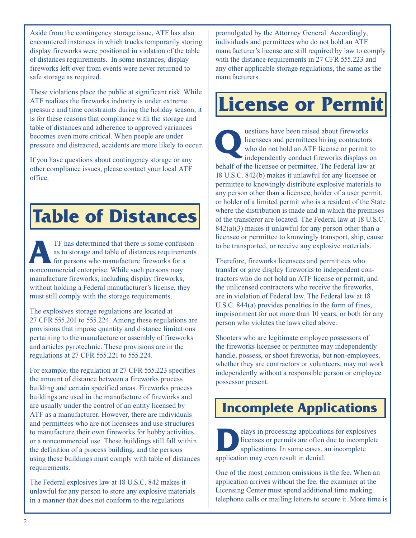Aside from the contingency storage issue, ATF has also encountered instances in which trucks temporarily storing display fireworks were positioned in violation of the table of distances requirements. In some instances, display fireworks left over from events were never returned to safe storage as required.

These violations place the public at significant risk. While ATF realizes the fireworks industry is under extreme pressure and time constraints during the holiday season, it is for these reasons that compliance with the storage and table of distances and adherence to approved variances becomes even more critical. When people are under pressure and distracted, accidents are more likely to occur.

If you have questions about contingency storage or any other compliance issues, please contact your local ATF office.

# **Table of Distances**

TF has determined that there is some confusion<br>
as to storage and table of distances requirements<br>
for persons who manufacture fireworks for a<br> **A** as to storage and table of distances requirements noncommercial enterprise. While such persons may manufacture fireworks, including display fireworks, without holding a Federal manufacturer's license, they must still comply with the storage requirements.

The explosives storage regulations are located at 27 CFR 555.201 to 555.224. Among these regulations are provisions that impose quantity and distance limitations pertaining to the manufacture or assembly of fireworks and articles pyrotechnic. These provisions are in the regulations at 27 CFR 555.221 to 555.224.

For example, the regulation at 27 CFR 555.223 specifies the amount of distance between a fireworks process building and certain specified areas. Fireworks process buildings are used in the manufacture of fireworks and are usually under the control of an entity licensed by ATF as a manufacturer. However, there are individuals and permittees who are not licensees and use structures to manufacture their own fireworks for hobby activities or a noncommercial use. These buildings still fall within the definition of a process building, and the persons using these buildings must comply with table of distances requirements.

The Federal explosives law at 18 U.S.C. 842 makes it unlawful for any person to store any explosive materials in a manner that does not conform to the regulations

promulgated by the Attorney General. Accordingly, individuals and permittees who do not hold an ATF manufacturer's license are still required by law to comply with the distance requirements in 27 CFR 555.223 and any other applicable storage regulations, the same as the manufacturers.

# **License or Permit**

uestions have been raised about fireworks licensees and permittees hiring contractors who do not hold an ATF license or permit to independently conduct fireworks displays on behalf of the licensee or permittee. The Federal law at 18 U.S.C. 842(b) makes it unlawful for any licensee or permittee to knowingly distribute explosive materials to any person other than a licensee, holder of a user permit, or holder of a limited permit who is a resident of the State where the distribution is made and in which the premises of the transferor are located. The Federal law at 18 U.S.C.  $842(a)(3)$  makes it unlawful for any person other than a licensee or permittee to knowingly transport, ship, cause to be transported, or receive any explosive materials.

Therefore, fireworks licensees and permittees who transfer or give display fireworks to independent contractors who do not hold an ATF license or permit, and the unlicensed contractors who receive the fireworks, are in violation of Federal law. The Federal law at 18 U.S.C. 844(a) provides penalties in the form of fines, imprisonment for not more than 10 years, or both for any person who violates the laws cited above.

Shooters who are legitimate employee possessors of the fireworks licensee or permittee may independently handle, possess, or shoot fireworks, but non-employees, whether they are contractors or volunteers, may not work independently without a responsible person or employee possessor present.

# **Incomplete Applications**

elays in processing applications for explosives licenses or permits are often due to incomplete applications. In some cases, an incomplete application may even result in denial.

One of the most common omissions is the fee. When an application arrives without the fee, the examiner at the Licensing Center must spend additional time making telephone calls or mailing letters to secure it. More time is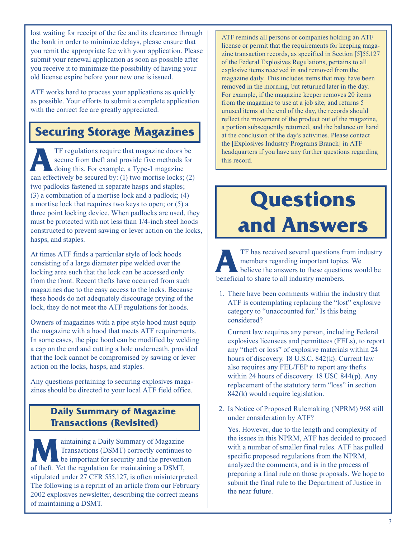lost waiting for receipt of the fee and its clearance through the bank in order to minimize delays, please ensure that you remit the appropriate fee with your application. Please submit your renewal application as soon as possible after you receive it to minimize the possibility of having your old license expire before your new one is issued.

ATF works hard to process your applications as quickly as possible. Your efforts to submit a complete application with the correct fee are greatly appreciated.

#### **Securing Storage Magazines**

TF regulations require that magazine doors be<br>secure from theft and provide five methods for<br>doing this. For example, a Type-1 magazine<br>an effectively be secured by: (1) two method locks: (2) secure from theft and provide five methods for doing this. For example, a Type-1 magazine can effectively be secured by: (1) two mortise locks; (2) two padlocks fastened in separate hasps and staples; (3) a combination of a mortise lock and a padlock; (4) a mortise lock that requires two keys to open; or (5) a three point locking device. When padlocks are used, they must be protected with not less than 1/4-inch steel hoods constructed to prevent sawing or lever action on the locks, hasps, and staples.

At times ATF finds a particular style of lock hoods consisting of a large diameter pipe welded over the locking area such that the lock can be accessed only from the front. Recent thefts have occurred from such magazines due to the easy access to the locks. Because these hoods do not adequately discourage prying of the lock, they do not meet the ATF regulations for hoods.

Owners of magazines with a pipe style hood must equip the magazine with a hood that meets ATF requirements. In some cases, the pipe hood can be modified by welding a cap on the end and cutting a hole underneath, provided that the lock cannot be compromised by sawing or lever action on the locks, hasps, and staples.

Any questions pertaining to securing explosives magazines should be directed to your local ATF field office.

#### **Daily Summary of Magazine Transactions (Revisited)**

Maintaining a Daily Summary of Magazine<br>
Transactions (DSMT) correctly continues to<br>
be important for security and the prevention<br>
of the two seculation for maintaining a DSMT Transactions (DSMT) correctly continues to of theft. Yet the regulation for maintaining a DSMT, stipulated under 27 CFR 555.127, is often misinterpreted. The following is a reprint of an article from our February 2002 explosives newsletter, describing the correct means of maintaining a DSMT.

ATF reminds all persons or companies holding an ATF license or permit that the requirements for keeping magazine transaction records, as specified in Section [5]55.127 of the Federal Explosives Regulations, pertains to all explosive items received in and removed from the magazine daily. This includes items that may have been removed in the morning, but returned later in the day. For example, if the magazine keeper removes 20 items from the magazine to use at a job site, and returns 5 unused items at the end of the day, the records should reflect the movement of the product out of the magazine, a portion subsequently returned, and the balance on hand at the conclusion of the day's activities. Please contact the [Explosives Industry Programs Branch] in ATF headquarters if you have any further questions regarding this record.

# **Questions and Answers**

TF has received several questions from industry<br>
members regarding important topics. We<br>
believe the answers to these questions would be<br>
hencefield to share to all industry mambers members regarding important topics. We beneficial to share to all industry members.

1. There have been comments within the industry that ATF is contemplating replacing the "lost" explosive category to "unaccounted for." Is this being considered?

 Current law requires any person, including Federal explosives licensees and permittees (FELs), to report any "theft or loss" of explosive materials within 24 hours of discovery. 18 U.S.C. 842(k). Current law also requires any FEL/FEP to report any thefts within 24 hours of discovery. 18 USC 844(p). Any replacement of the statutory term "loss" in section 842(k) would require legislation.

2. Is Notice of Proposed Rulemaking (NPRM) 968 still under consideration by ATF?

 Yes. However, due to the length and complexity of the issues in this NPRM, ATF has decided to proceed with a number of smaller final rules. ATF has pulled specific proposed regulations from the NPRM, analyzed the comments, and is in the process of preparing a final rule on those proposals. We hope to submit the final rule to the Department of Justice in the near future.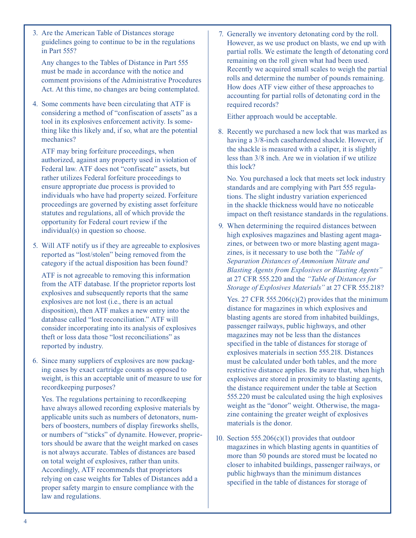3. Are the American Table of Distances storage guidelines going to continue to be in the regulations in Part 555?

 Any changes to the Tables of Distance in Part 555 must be made in accordance with the notice and comment provisions of the Administrative Procedures Act. At this time, no changes are being contemplated.

4. Some comments have been circulating that ATF is considering a method of "confiscation of assets" as a tool in its explosives enforcement activity. Is some thing like this likely and, if so, what are the potential mechanics?

 ATF may bring forfeiture proceedings, when authorized, against any property used in violation of Federal law. ATF does not "confiscate" assets, but rather utilizes Federal forfeiture proceedings to ensure appropriate due process is provided to individuals who have had property seized. Forfeiture proceedings are governed by existing asset forfeiture statutes and regulations, all of which provide the opportunity for Federal court review if the individual(s) in question so choose.

5. Will ATF notify us if they are agreeable to explosives reported as "lost/stolen" being removed from the category if the actual disposition has been found?

 ATF is not agreeable to removing this information from the ATF database. If the proprietor reports lost explosives and subsequently reports that the same explosives are not lost (i.e., there is an actual disposition), then ATF makes a new entry into the database called "lost reconciliation." ATF will consider incorporating into its analysis of explosives theft or loss data those "lost reconciliations" as reported by industry.

6. Since many suppliers of explosives are now packag ing cases by exact cartridge counts as opposed to weight, is this an acceptable unit of measure to use for recordkeeping purposes?

 Yes. The regulations pertaining to recordkeeping have always allowed recording explosive materials by applicable units such as numbers of detonators, num bers of boosters, numbers of display fireworks shells, or numbers of "sticks" of dynamite. However, proprie tors should be aware that the weight marked on cases is not always accurate. Tables of distances are based on total weight of explosives, rather than units. Accordingly, ATF recommends that proprietors relying on case weights for Tables of Distances add a proper safety margin to ensure compliance with the law and regulations.

7. Generally we inventory detonating cord by the roll. However, as we use product on blasts, we end up with partial rolls. We estimate the length of detonating cord remaining on the roll given what had been used. Recently we acquired small scales to weigh the partial rolls and determine the number of pounds remaining. How does ATF view either of these approaches to accounting for partial rolls of detonating cord in the required records?

Either approach would be acceptable.

8. Recently we purchased a new lock that was marked as having a 3/8-inch casehardened shackle. However, if the shackle is measured with a caliper, it is slightly less than 3/8 inch. Are we in violation if we utilize this lock?

 No. You purchased a lock that meets set lock industry standards and are complying with Part 555 regula tions. The slight industry variation experienced in the shackle thickness would have no noticeable impact on theft resistance standards in the regulations.

9. When determining the required distances between high explosives magazines and blasting agent maga zines, or between two or more blasting agent maga zines, is it necessary to use both the *"Table of Separation Distances of Ammonium Nitrate and Blasting Agents from Explosives or Blasting Agents"* at 27 CFR 555.220 and the *"Table of Distances for Storage of Explosives Materials"* at 27 CFR 555.218?

Yes. 27 CFR 555.206 $(c)(2)$  provides that the minimum distance for magazines in which explosives and blasting agents are stored from inhabited buildings, passenger railways, public highways, and other magazines may not be less than the distances specified in the table of distances for storage of explosives materials in section 555.218. Distances must be calculated under both tables, and the more restrictive distance applies. Be aware that, when high explosives are stored in proximity to blasting agents, the distance requirement under the table at Section 555.220 must be calculated using the high explosives weight as the "donor" weight. Otherwise, the maga zine containing the greater weight of explosives materials is the donor.

10. Section  $555.206(c)(1)$  provides that outdoor magazines in which blasting agents in quantities of more than 50 pounds are stored must be located no closer to inhabited buildings, passenger railways, or public highways than the minimum distances specified in the table of distances for storage of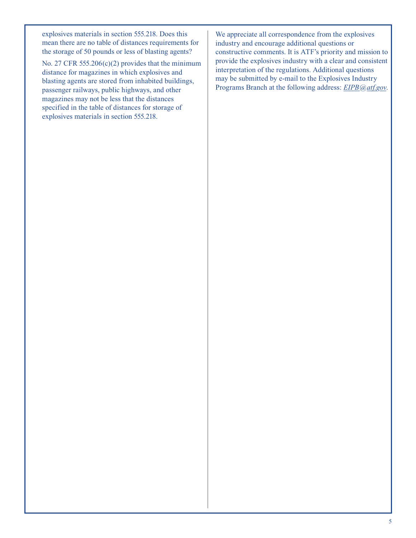explosives materials in section 555.218. Does this mean there are no table of distances requirements for the storage of 50 pounds or less of blasting agents?

No. 27 CFR 555.206 $(c)(2)$  provides that the minimum distance for magazines in which explosives and blasting agents are stored from inhabited buildings, passenger railways, public highways, and other magazines may not be less that the distances specified in the table of distances for storage of explosives materials in section 555.218.

We appreciate all correspondence from the explosives industry and encourage additional questions or constructive comments. It is ATF's priority and mission to provide the explosives industry with a clear and consistent interpretation of the regulations. Additional questions may be submitted by e-mail to the Explosives Industry Programs Branch at the following address: *EIPB@atf.gov*.